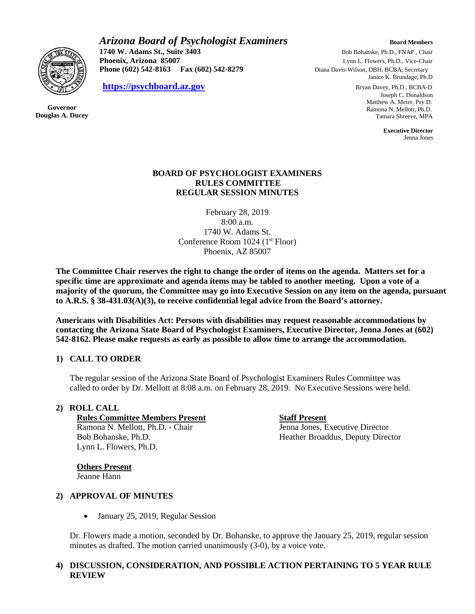

**Governor Douglas A. Ducey** *Arizona Board of Psychologist Examiners* **Board Members Board Members 1740 W. Adams St., Suite 3403** Bob Bohanske, Ph.D., FNAP , Chair

**Phoenix, Arizona 85007** Lynn L. Flowers, Ph.D., Vice-Chair **Phone (602) 542-8163 Fax (602) 542-8279** Diana Davis-Wilson, DBH, BCBA, Secretary

**[https://psychboard.az.gov](https://psychboard.az.gov/)** Bryan Davey, Ph.D., BCBA-D

Janice K. Brundage, Ph.D

 Joseph C. Donaldson Matthew A. Meier, Psy.D. Ramona N. Mellott, Ph.D. Tamara Shreeve, MPA

 **Executive Director** Jenna Jones

## **BOARD OF PSYCHOLOGIST EXAMINERS RULES COMMITTEE REGULAR SESSION MINUTES**

February 28, 2019 8:00 a.m. 1740 W. Adams St. Conference Room 1024 (1<sup>st</sup> Floor) Phoenix, AZ 85007

**The Committee Chair reserves the right to change the order of items on the agenda. Matters set for a specific time are approximate and agenda items may be tabled to another meeting. Upon a vote of a majority of the quorum, the Committee may go into Executive Session on any item on the agenda, pursuant to A.R.S. § 38-431.03(A)(3), to receive confidential legal advice from the Board's attorney.**

**Americans with Disabilities Act: Persons with disabilities may request reasonable accommodations by contacting the Arizona State Board of Psychologist Examiners, Executive Director, Jenna Jones at (602) 542-8162. Please make requests as early as possible to allow time to arrange the accommodation.**

# **1) CALL TO ORDER**

The regular session of the Arizona State Board of Psychologist Examiners Rules Committee was called to order by Dr. Mellott at 8:08 a.m. on February 28, 2019. No Executive Sessions were held.

## **2) ROLL CALL**

**Rules Committee Members Present Staff Present**  Ramona N. Mellott, Ph.D. - Chair Jenna Jones, Executive Director Bob Bohanske, Ph.D. Heather Broaddus, Deputy Director Lynn L. Flowers, Ph.D.

**Others Present** Jeanne Hann

## **2) APPROVAL OF MINUTES**

• January 25, 2019, Regular Session

Dr. Flowers made a motion, seconded by Dr. Bohanske, to approve the January 25, 2019, regular session minutes as drafted. The motion carried unanimously (3-0), by a voice vote.

# **4) DISCUSSION, CONSIDERATION, AND POSSIBLE ACTION PERTAINING TO 5 YEAR RULE REVIEW**